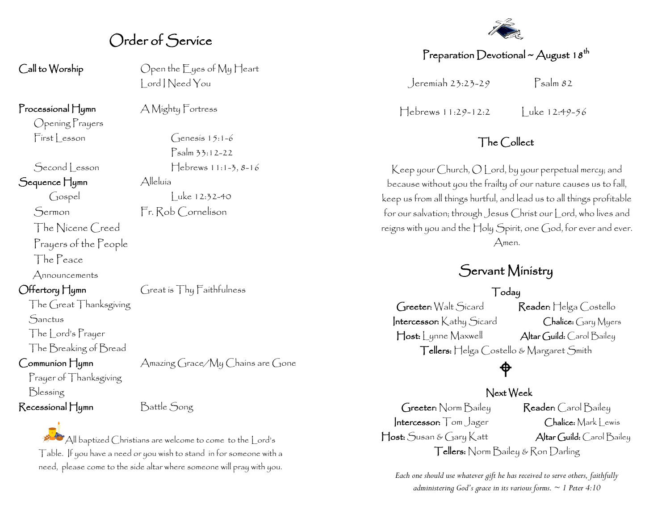### Order of Service

Call to Worship Open the Eyes of My Heart Lord I Need You

Processional Hymn A Mighty Fortress

Opening Prayers

Sequence Hymn Alleluía

The Nicene Creed

Prayers of the People

The Peace

Announcements

Offertory Hymn Great is Thy Faithfulness

The Great Thanksgiving **Sanctus** 

The Lord's Prayer

## The Breaking of Bread

Prayer of Thanksgiving Blessing Recessional Hymn Battle Song

Communion Hymn Amazing Grace/My Chains are Gone

All baptized Christians are welcome to come to the Lord's Table. If you have a need or you wish to stand in for someone with a need, please come to the side altar where someone will pray with you.

 $First|$  esson  $Genesis 15:1-6$ Psalm 33:12-22  $\left[ \frac{\text{Second}}{\text{esson}} \right]$   $\left[ \frac{\text{S}}{\text{eson}} \right]$  $\int \csc(12.32-40)$ 

Sermon Fr. Rob Cornelison

# Preparation Devotional ~ August 18<sup>th</sup>

Jeremiah 23:23-29 Psalm 82

 $Hebrews 11:29-12:2$  Luke 12:49-56

### The Collect

Keep your Church, O Lord, by your perpetual mercy; and because without you the frailty of our nature causes us to fall, keep us from all things hurtful, and lead us to all things profitable for our salvation; through Jesus Christ our Lord, who lives and reigns with you and the Holy Spirit, one God, for ever and ever. Amen.

### Servant Ministry

#### Today

Greeter: Walt Sicard Reader: Helga Costello Intercessor: Kathy Sicard Chalice: Gary Myers Host: Lynne Maxwell Altar Guild: Carol Bailey Tellers: Helga Costello & Margaret Smith

# $\hat{\mathsf{P}}$

#### Next Week

Greeter: Norm Bailey Reader: Carol Bailey Intercessor: Tom Jager Chalice: Mark Lewis Host: Susan & Gary Katt Altar Guild: Carol Bailey Tellers: Norm Bailey & Ron Darling

*Each one should use whatever gift he has received to serve others, faithfully administering God's grace in its various forms. ~ 1 Peter 4:10*